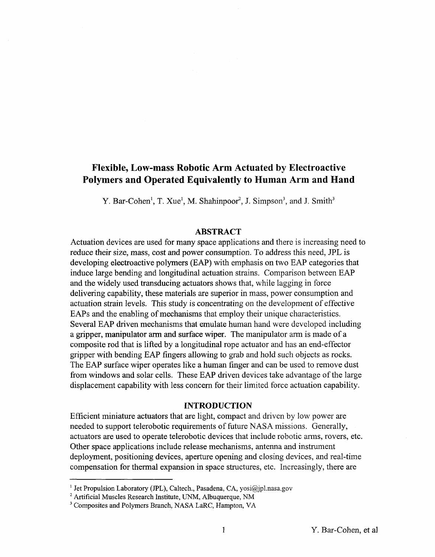# **Flexible, Low-mass Robotic Arm Actuated by Electroactive Polymers and Operated Equivalently to Human Arm and Hand**

*Y.* Bar-Cohen<sup>1</sup>, T. Xue<sup>1</sup>, M. Shahinpoor<sup>2</sup>, J. Simpson<sup>3</sup>, and J. Smith<sup>3</sup>

#### **ABSTRACT**

Actuation devices are used for many space applications and there is increasing need to reduce their size, mass, cost and power consumption. To address this need, JPL is developing electroactive polymers (EAP) with emphasis on two EAP categories that induce large bending and longitudinal actuation strains. Comparison between EAP and the widely used transducing actuators shows that, while lagging in force delivering capability, these materials are superior in mass, power consumption and actuation strain levels. This study is concentrating on the development of effective EAPs and the enabling of mechanisms that employ their unique characteristics. Several EAP driven mechanisms that emulate human hand were developed including a gripper, manipulator arm and surface wiper. The manipulator arm is made of a composite rod that is lifted by a longitudinal rope actuator and has an end-effector gripper with bending EAP fingers allowing to grab and hold such objects as rocks. The EAP surface wiper operates like a human finger and can be used to remove dust from windows and solar cells. These EAP driven devices take advantage of the large displacement capability with less concern for their limited force actuation capability.

#### **INTRODUCTION**

Efficient miniature actuators that are light, compact and driven by low power are needed to support telerobotic requirements of future **NASA** missions. Generally, actuators are used to operate telerobotic devices that include robotic arms, rovers, etc. Other space applications include release mechanisms, antenna and instrument deployment, positioning devices, aperture opening and closing devices, and real-time compensation for thermal expansion in space structures, etc. Increasingly, there are

<sup>&</sup>lt;sup>1</sup> Jet Propulsion Laboratory (JPL), Caltech., Pasadena, CA, yosi $\omega$ ipl.nasa.gov

Artificial Muscles Research Institute, UNM, Albuquerque, NM

Composites and Polymers Branch, NASA LaRC, Hampton, **VA**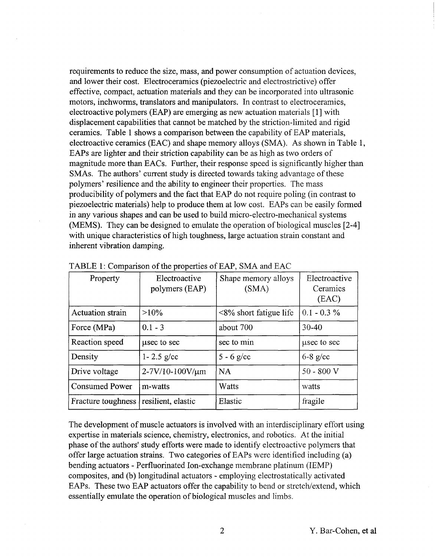requirements to reduce the size, mass, and power consumption of actuation devices, and lower their cost. Electroceramics (piezoelectric and electrostrictive) offer effective, compact, actuation materials and they can be incorporated into ultrasonic motors, inchworms, translators and manipulators. In contrast to electroceramics, electroactive polymers (EAP) are emerging as new actuation materials [l] with displacement capabilities that cannot be matched by the striction-limited and rigid ceramics. Table 1 shows a comparison between the capability of EAP materials, electroactive ceramics (EAC) and shape memory alloys (SMA). As shown in Table 1, EAPs are lighter and their striction capability can be as high as two orders of magnitude more than EACs. Further, their response speed is significantly higher than SMAs. The authors' current study is directed towards taking advantage of these polymers' resilience and the ability to engineer their properties. The mass producibility of polymers and the fact that EAP do not require poling (in contrast to piezoelectric materials) help to produce them at low cost. EAPs can be easily formed in any various shapes and can be used to build micro-electro-mechanical systems (MEMS). They can be designed to emulate the operation of biological muscles [2-41 with unique characteristics of high toughness, large actuation strain constant and inherent vibration damping.

| Property                | Electroactive<br>polymers (EAP) | Shape memory alloys<br>(SMA) | Electroactive<br>Ceramics<br>(EAC) |
|-------------------------|---------------------------------|------------------------------|------------------------------------|
| <b>Actuation strain</b> | $>10\%$                         | $<8\%$ short fatigue life    | $0.1 - 0.3 \%$                     |
| Force (MPa)             | $0.1 - 3$                       | about 700                    | $30 - 40$                          |
| Reaction speed          | usec to sec                     | sec to min                   | used to see                        |
| Density                 | $1 - 2.5$ g/cc                  | 5 - 6 g/cc                   | $6-8$ g/cc                         |
| Drive voltage           | 2-7V/10-100V/µm                 | <b>NA</b>                    | $50 - 800$ V                       |
| <b>Consumed Power</b>   | m-watts                         | Watts                        | watts                              |
| Fracture toughness      | resilient, elastic              | Elastic                      | fragile                            |

TABLE 1: Comparison of the properties of EAP, SMA and EAC

The development of muscle actuators is involved with an interdisciplinary effort using expertise in materials science, chemistry, electronics, and robotics. At the initial phase of the authors' study efforts were made to identify electroactive polymers that offer large actuation strains. Two categories of EAPs were identified including (a) bending actuators - Perfluorinated Ion-exchange membrane platinum (IEMP) composites, and (b) longitudinal actuators - employing electrostatically activated EAPs. These two EAP actuators offer the capability to bend or stretch/extend, which essentially emulate the operation of biological muscles and limbs.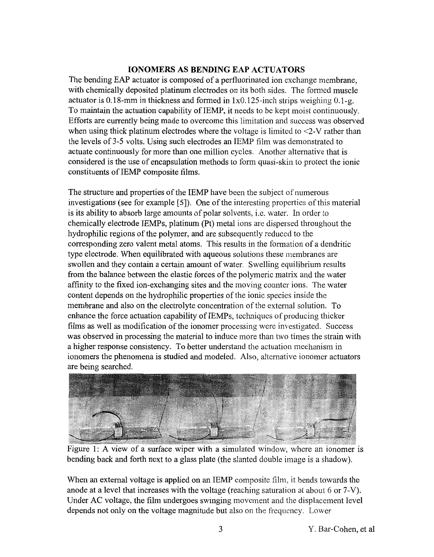## **IONOMERS AS BENDING EAP ACTUATORS**

The bending EAP actuator is composed of a perfluorinated ion exchange membrane, with chemically deposited platinum electrodes on its both sides. The formed muscle actuator is 0.18-mm in thickness and formed in  $1x0.125$ -inch strips weighing 0.1-g. To maintain the actuation capability of IEMP, it needs to be kept moist continuously. Efforts are currently being made to overcome this limitation and success was observed when using thick platinum electrodes where the voltage is limited to  $\leq$ -V rather than the levels of 3-5 volts. Using such electrodes an IEMP film was demonstrated to actuate continuously for more than one million cycles. Another alternative that is considered is the use of encapsulation methods to form quasi-skin to protect the ionic constituents of IEMP composite films.

The structure and properties of the IEMP have been the subject of numerous investigations (see for example [5]). One of the interesting properties of this material is its ability to absorb large amounts of polar solvents, i.e. water. In order to chemically electrode IEMPs, platinum (Pt) metal ions are dispersed throughout the hydrophilic regions of the polymer, and are subsequently reduced to the corresponding zero valent metal atoms. This results in the formation of a dendritic type electrode. When equilibrated with aqueous solutions these membranes are swollen and they contain a certain amount of water. Swelling equilibrium results from the balance between the elastic forces of the polymeric matrix and the water affinity to the fixed ion-exchanging sites and the moving counter ions. The water content depends on the hydrophilic properties of the ionic species inside the membrane and also on the electrolyte concentration of the external solution. To enhance the force actuation capability of IEMPs, techniques of producing thicker films as well as modification of the ionomer processing were investigated. Success was observed in processing the material to induce more than two times the strain with a higher response consistency. To better understand the actuation mechanism in ionomers the phenomena is studied and modeled. Also, alternative ionomer actuators are being searched.



Figure 1: A view of a surface wiper with a simulated window, where an ionomer is bending back and forth next to a glass plate (the slanted double image is a shadow).

When an external voltage is applied on an IEMP composite film, it bends towards the anode at a level that increases with the voltage (reaching saturation at about 6 or 7-V). Under **AC** voltage, the film undergoes swinging movement and the displacement level depends not only on the voltage magnitude but also on the frequency. Lower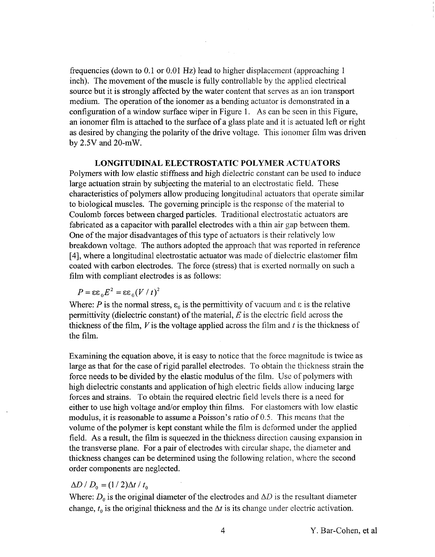frequencies (down to 0.1 or 0.01 Hz) lead to higher displacement (approaching 1 inch). The movement of the muscle is fully controllable by the applied electrical source but it is strongly affected by the water content that serves as an ion transport medium. The operation of the ionomer as a bending actuator is demonstrated in a configuration of a window surface wiper in Figure 1. As can be seen in this Figure, an ionomer film is attached to the surface of a glass plate and it is actuated left or right as desired by changing the polarity of the drive voltage. This ionomer film was driven by 2.5V and 20-mW.

#### **LONGITUDINAL ELECTROSTATIC POLYMER ACTUATORS**

Polymers with low elastic stifhess and high dielectric constant can be used to induce large actuation strain by subjecting the material to an electrostatic field. These characteristics of polymers allow producing longitudinal actuators that operate similar to biological muscles. The governing principle is the response of the material to Coulomb forces between charged particles. Traditional electrostatic actuators are fabricated as a capacitor with parallel electrodes with a thin air gap between them. One of the major disadvantages of this type of actuators is their relatively low breakdown voltage. The authors adopted the approach that was reported in reference [4], where a longitudinal electrostatic actuator was made of dielectric elastomer film coated with carbon electrodes. The force (stress) that is exerted normally on such a film with compliant electrodes is as follows:

$$
P = \varepsilon \varepsilon_0 E^2 = \varepsilon \varepsilon_0 (V/t)^2
$$

Where: *P* is the normal stress,  $\varepsilon_0$  is the permittivity of vacuum and  $\varepsilon$  is the relative permittivity (dielectric constant) of the material, *E* is the electric field across the thickness of the film,  $V$  is the voltage applied across the film and  $t$  is the thickness of the film.

Examining the equation above, it is easy to notice that the force magnitude is twice as large as that for the case of rigid parallel electrodes. To obtain the thickness strain the force needs to be divided by the elastic modulus of the film. Use of polymers with high dielectric constants and application of high electric fields allow inducing large forces and strains. To obtain the required electric field levels there is a need for either to use high voltage and/or employ thin films. For elastomers with low elastic modulus, it is reasonable to assume a Poisson's ratio of *0.5.* This means that the volume of the polymer is kept constant while the film is deformed under the applied field. As a result, the film is squeezed in the thickness direction causing expansion in the transverse plane. For a pair of electrodes with circular shape, the diameter and thickness changes can be determined using the following relation, where the second order components are neglected.

#### $\Delta D / D_0 = (1/2) \Delta t / t_0$

Where:  $D_0$  is the original diameter of the electrodes and  $\Delta D$  is the resultant diameter change,  $t_0$  is the original thickness and the  $\Delta t$  is its change under electric activation.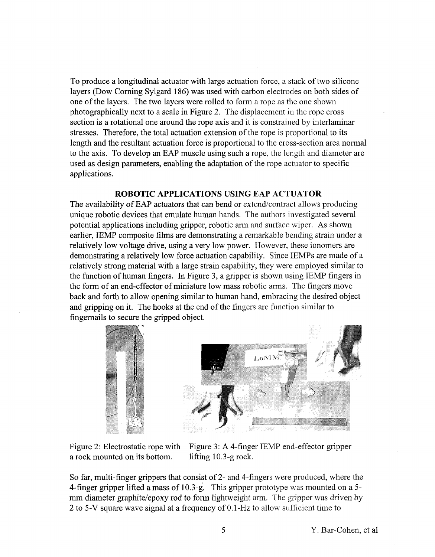To produce a longitudinal actuator with large actuation force, a stack of two silicone layers (Dow Coming Sylgard 186) was used with carbon electrodes on both sides of one of the layers. The two layers were rolled to form a rope as the one shown photographically next to a scale in Figure 2. The displacement in the rope cross section is a rotational one around the rope axis and it is constrained by interlaminar stresses. Therefore, the total actuation extension of the rope is proportional to its length and the resultant actuation force is proportional to the cross-section area normal to the axis. To develop an EAP muscle using such a rope, the length and diameter are used as design parameters, enabling the adaptation of the rope actuator to specific applications.

## **ROBOTIC APPLICATIONS USING EAP ACTUATOR**

The availability of EAP actuators that can bend or extend/contract allows producing unique robotic devices that emulate human hands. The authors investigated several potential applications including gripper, robotic arm and surface wiper. As shown earlier, IEMP composite films are demonstrating a remarkable bending strain under a relatively low voltage drive, using a very low power. However, these ionomers are demonstrating a relatively low force actuation capability. Since IEMPs are made of a relatively strong material with a large strain capability, they were employed similar to the function of human fingers. In Figure 3, a gripper is shown using IEMP fingers in the form of an end-effector of miniature low mass robotic arms. The fingers move back and forth to allow opening similar to human hand, embracing the desired object and gripping on it. The hooks at the end of the fingers are function similar to fingernails to secure the gripped object.



a rock mounted on its bottom. lifting 10.3-g rock.

Figure 2: Electrostatic rope with Figure 3: **A** 4-finger IEMP end-effector gripper

So far, multi-finger grippers that consist of 2- and 4-fingers were produced, where the 4-finger gripper lifted a mass of 10.3-g. This gripper prototype was mounted on a 5 mm diameter graphite/epoxy rod to form lightweight arm. The gripper was driven by **2** to 5-V square wave signal at a frequency of 0.1-Hz to allow sufficient time to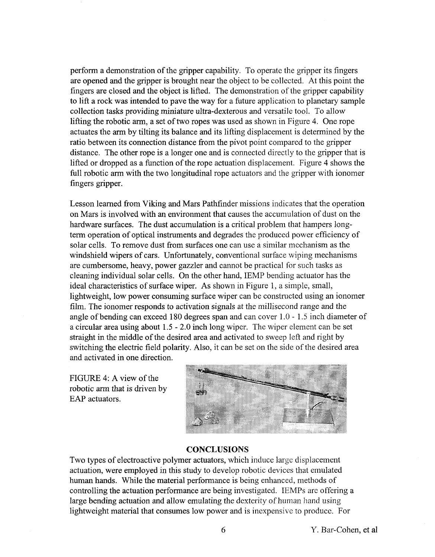perform a demonstration of the gripper capability. To operate the gripper its fingers are opened and the gripper is brought near the object to be collected. At this point the fingers are closed and the object is lifted. The demonstration of the gripper capability to lift a rock was intended to pave the way for a future application to planetary sample collection tasks providing miniature ultra-dexterous and versatile tool. To allow lifting the robotic arm, a set of two ropes was used as shown in Figure 4. One rope actuates the arm by tilting its balance and its lifting displacement is determined by the ratio between its connection distance from the pivot point compared to the gripper distance. The other rope is a longer one and is connected directly to the gripper that is lifted or dropped as a function of the rope actuation displacement. Figure 4 shows the full robotic arm with the two longitudinal rope actuators and the gripper with ionomer fingers gripper.

Lesson learned from Viking and Mars Pathfinder missions indicates that the operation on Mars is involved with an environment that causes the accumulation of dust on the hardware surfaces. The dust accumulation is a critical problem that hampers longterm operation of optical instruments and degrades the produced power efficiency of solar cells. To remove dust from surfaces one can use a similar mechanism as the windshield wipers of cars. Unfortunately, conventional surface wiping mechanisms are cumbersome, heavy, power gazzler and cannot be practical for such tasks as cleaning individual solar cells. On the other hand, IEMP bending actuator has the ideal characteristics of surface wiper. **As** shown in Figure 1, a simple, small, lightweight, low power consuming surface wiper can be constructed using an ionomer film. The ionomer responds to activation signals at the millisecond range and the angle of bending can exceed 180 degrees span and can cover  $1.0 - 1.5$  inch diameter of a circular area using about 1.5 - 2.0 inch long wiper. The wiper element can be set straight in the middle of the desired area and activated to sweep left and right by switching the electric field polarity. Also, it can be set on the side of the desired area and activated in one direction.

FIGURE 4: A view of the robotic arm that is driven by EAP actuators.



#### **CONCLUSIONS**

Two types of electroactive polymer actuators, which induce large displacement actuation, were employed in this study to develop robotic devices that emulated human hands. While the material performance is being enhanced, methods of controlling the actuation performance are being investigated. IEMPs are offering **a**  large bending actuation and allow emulating the dexterity of human hand using lightweight material that consumes low power and is inexpensive to produce. For